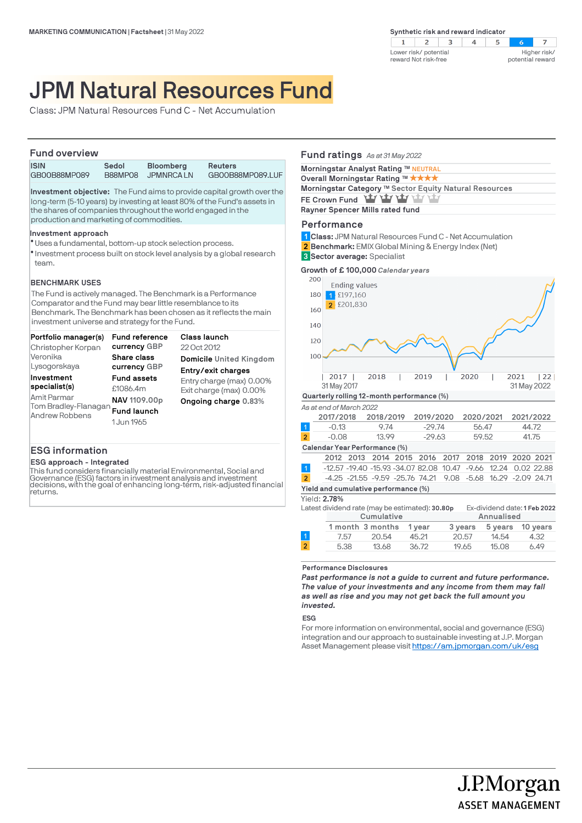

# JPM Natural Resources Fund

Class: JPM Natural Resources Fund C - Net Accumulation

## **Fund overview**

| I UIIU UVUI VIEW            |                  |                                |                                    |  |  |  |
|-----------------------------|------------------|--------------------------------|------------------------------------|--|--|--|
| <b>ISIN</b><br>GB00B88MP089 | Sedol<br>B88MP08 | <b>Bloomberg</b><br>JPMNRCA LN | <b>Reuters</b><br>GB00B88MP089.LUF |  |  |  |
|                             |                  |                                |                                    |  |  |  |

**Investment objective:** The Fund aims to provide capital growth over the long-term (5-10 years) by investing at least 80% of the Fund's assets in the shares of companies throughout the world engaged in the production and marketing of commodities.

#### **Investment approach**

- Uses a fundamental, bottom-up stock selection process. l
- $\bullet$  Investment process built on stock level analysis by a global research team.

## **BENCHMARK USES**

The Fund is actively managed. The Benchmark is a Performance Comparator and the Fund may bear little resemblance to its Benchmark. The Benchmark has been chosen as it reflects the main investment universe and strategy for the Fund.

| Portfolio manager(s)                                                                 | <b>Fund reference</b>                                                              | Class launch                                                                |
|--------------------------------------------------------------------------------------|------------------------------------------------------------------------------------|-----------------------------------------------------------------------------|
| Christopher Korpan                                                                   | currency GBP                                                                       | 22 Oct 2012                                                                 |
| Veronika                                                                             | <b>Share class</b>                                                                 | Domicile United Kingdom                                                     |
| Lysogorskaya                                                                         | currency GBP                                                                       | Entry/exit charges                                                          |
| Investment<br>specialist(s)<br>Amit Parmar<br>Tom Bradley-Flanagan<br>Andrew Robbens | <b>Fund assets</b><br>£1086.4m<br>NAV 1109,00p<br><b>Fund launch</b><br>1 Jun 1965 | Entry charge (max) 0.00%<br>Exit charge (max) 0.00%<br>Ongoing charge 0.83% |

## **ESG information**

#### **ESG approach - Integrated**

This fund considers financially material Environmental, Social and Governance (ESG) factors in investment analysis and investment decisions, with the goal of enhancing long-term, risk-adjusted financial returns.

# **Fund ratings** *As at 31 May 2022*

| Morningstar Analyst Rating ™ NEUTRAL                   |  |
|--------------------------------------------------------|--|
| Overall Morningstar Rating ™ ★★★★                      |  |
| Morningstar Category ™ Sector Equity Natural Resources |  |
| FE Crown Fund Yay Yay Yay Yay Yay                      |  |
| Rayner Spencer Mills rated fund                        |  |

# **Performance**

- **Class:** JPM Natural Resources Fund C Net Accumulation **1**
- **Benchmark:** EMIX Global Mining & Energy Index (Net) **2**

**Sector average:** Specialist **3**



|                | 2017/2018                     | 2018/2019                                         | 2019/2020 | 2020/2021 | 2021/2022 |  |
|----------------|-------------------------------|---------------------------------------------------|-----------|-----------|-----------|--|
| $\mathbf{1}$   | $-0.13$                       | 9.74                                              | $-29.74$  | 56.47     | 44.72     |  |
| $\overline{2}$ | $-0.08$                       | 13.99                                             | $-29.63$  | 59.52     | 41.75     |  |
|                | Calendar Year Performance (%) |                                                   |           |           |           |  |
|                |                               | 2012 2013 2014 2015 2016 2017 2018 2019 2020 2021 |           |           |           |  |

|                |                                      |  |  |  | AVIA AVIV AVIT AVIV AVIV AVI/ AVIV AVI/ AVAV AVAI              |  |  |  |  |  |
|----------------|--------------------------------------|--|--|--|----------------------------------------------------------------|--|--|--|--|--|
|                |                                      |  |  |  | -12.57 -19.40 -15.93 -34.07 82.08 10.47 -9.66 12.24 0.02 22.88 |  |  |  |  |  |
| $\overline{2}$ |                                      |  |  |  | -4.25 -21.55 -9.59 -25.76 74.21 9.08 -5.68 16.29 -2.09 24.71   |  |  |  |  |  |
|                | Yield and cumulative performance (%) |  |  |  |                                                                |  |  |  |  |  |

Yield: **2.78%**

|                |      | Latest dividend rate (may be estimated): 30.80p |        | Ex-dividend date: 1 Feb 2022 |         |          |
|----------------|------|-------------------------------------------------|--------|------------------------------|---------|----------|
|                |      | Cumulative                                      |        | Annualised                   |         |          |
|                |      | 1 month 3 months                                | 1 vear | 3 years                      | 5 years | 10 years |
|                | 7.57 | 20.54                                           | 45.21  | 20.57                        | 14.54   | 4.32     |
| $\overline{2}$ | 5.38 | 13.68                                           | 36.72  | 19.65                        | 15.08   | 6.49     |
|                |      |                                                 |        |                              |         |          |

#### **Performance Disclosures**

*Past performance is not a guide to current and future performance. The value of your investments and any income from them may fall as well as rise and you may not get back the full amount you invested.* 

**ESG**

For more information on environmental, social and governance (ESG) integration and our approach to sustainable investing at J.P. Morgan Asset Management please visit https://am.jpmorgan.com/uk/esg

> J.P.Morgan **ASSET MANAGEMENT**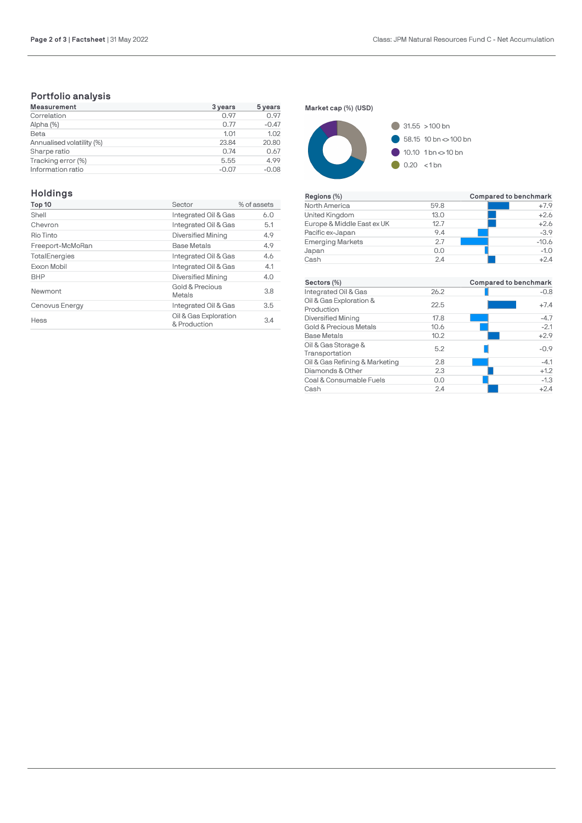# **Portfolio analysis**

| <b>Measurement</b>        | 3 years | 5 years |
|---------------------------|---------|---------|
| Correlation               | 0.97    | 0.97    |
| Alpha (%)                 | 0.77    | $-0.47$ |
| Beta                      | 1.01    | 1.02    |
| Annualised volatility (%) | 23.84   | 20.80   |
| Sharpe ratio              | 0.74    | 0.67    |
| Tracking error (%)        | 5.55    | 4.99    |
| Information ratio         | $-0.07$ | $-0.08$ |

# **Holdings**

| Top 10           | Sector                                | % of assets |
|------------------|---------------------------------------|-------------|
| Shell            | Integrated Oil & Gas                  | 6.0         |
| Chevron          | Integrated Oil & Gas                  | 5.1         |
| Rio Tinto        | Diversified Mining                    | 4.9         |
| Freeport-McMoRan | <b>Base Metals</b>                    | 4.9         |
| TotalEnergies    | Integrated Oil & Gas                  | 4.6         |
| Exxon Mobil      | Integrated Oil & Gas                  | 4.1         |
| <b>BHP</b>       | Diversified Mining                    | 4.0         |
| Newmont          | Gold & Precious<br>Metals             | 3.8         |
| Cenovus Energy   | Integrated Oil & Gas                  | 3.5         |
| Hess             | Oil & Gas Exploration<br>& Production | 3.4         |

**Market cap (%) (USD)**



| Regions (%)                |      | Compared to benchmark |
|----------------------------|------|-----------------------|
| North America              | 59.8 | $+7.9$                |
| United Kingdom             | 13.0 | $+2.6$                |
| Europe & Middle East ex UK | 12.7 | $+2.6$                |
| Pacific ex-Japan           | 9.4  | $-3.9$                |
| <b>Emerging Markets</b>    | 27   | $-10.6$               |
| Japan                      | 0.0  | $-1.0$                |
| Cash                       | 2.4  | $+2.4$                |

| Sectors (%)                           |      | Compared to benchmark |
|---------------------------------------|------|-----------------------|
| Integrated Oil & Gas                  | 26.2 | $-0.8$                |
| Oil & Gas Exploration &<br>Production | 22.5 | $+7.4$                |
| <b>Diversified Mining</b>             | 17.8 | $-4.7$                |
| Gold & Precious Metals                | 10.6 | $-2.1$                |
| <b>Base Metals</b>                    | 10.2 | $+2.9$                |
| Oil & Gas Storage &<br>Transportation | 5.2  | $-0.9$                |
| Oil & Gas Refining & Marketing        | 2.8  | $-4.1$                |
| Diamonds & Other                      | 2.3  | $+1.2$                |
| Coal & Consumable Fuels               | 0.0  | $-1.3$                |
| Cash                                  | 2.4  | $+2.4$                |